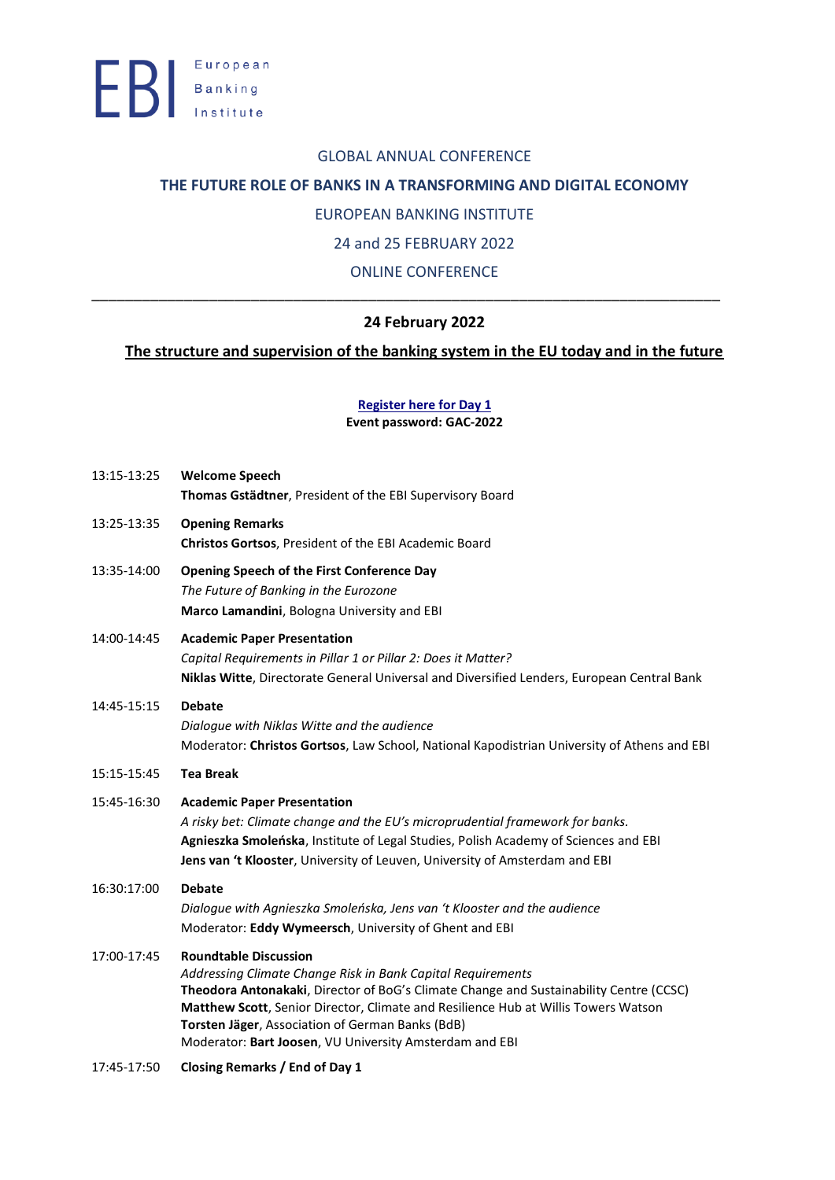### GLOBAL ANNUAL CONFERENCE

## **THE FUTURE ROLE OF BANKS IN A TRANSFORMING AND DIGITAL ECONOMY**

## EUROPEAN BANKING INSTITUTE

## 24 and 25 FEBRUARY 2022

# ONLINE CONFERENCE

\_\_\_\_\_\_\_\_\_\_\_\_\_\_\_\_\_\_\_\_\_\_\_\_\_\_\_\_\_\_\_\_\_\_\_\_\_\_\_\_\_\_\_\_\_\_\_\_\_\_\_\_\_\_\_\_\_\_\_\_\_\_\_\_\_\_\_\_\_\_\_\_\_\_\_

# **24 February 2022**

# **The structure and supervision of the banking system in the EU today and in the future**

**[Register here for Day 1](https://ebi-europa.webex.com/ebi-europa/onstage/g.php?MTID=e7860fe2041fceb88e566cb6ed3da54bb) Event password: GAC-2022**

| 13:15-13:25 | <b>Welcome Speech</b><br>Thomas Gstädtner, President of the EBI Supervisory Board                                                                                                                                                                                                                                                                                                          |
|-------------|--------------------------------------------------------------------------------------------------------------------------------------------------------------------------------------------------------------------------------------------------------------------------------------------------------------------------------------------------------------------------------------------|
| 13:25-13:35 | <b>Opening Remarks</b><br>Christos Gortsos, President of the EBI Academic Board                                                                                                                                                                                                                                                                                                            |
| 13:35-14:00 | <b>Opening Speech of the First Conference Day</b><br>The Future of Banking in the Eurozone<br>Marco Lamandini, Bologna University and EBI                                                                                                                                                                                                                                                  |
| 14:00-14:45 | <b>Academic Paper Presentation</b><br>Capital Requirements in Pillar 1 or Pillar 2: Does it Matter?<br>Niklas Witte, Directorate General Universal and Diversified Lenders, European Central Bank                                                                                                                                                                                          |
| 14:45-15:15 | <b>Debate</b><br>Dialogue with Niklas Witte and the audience<br>Moderator: Christos Gortsos, Law School, National Kapodistrian University of Athens and EBI                                                                                                                                                                                                                                |
| 15:15-15:45 | <b>Tea Break</b>                                                                                                                                                                                                                                                                                                                                                                           |
| 15:45-16:30 | <b>Academic Paper Presentation</b><br>A risky bet: Climate change and the EU's microprudential framework for banks.<br>Agnieszka Smoleńska, Institute of Legal Studies, Polish Academy of Sciences and EBI<br>Jens van 't Klooster, University of Leuven, University of Amsterdam and EBI                                                                                                  |
| 16:30:17:00 | <b>Debate</b><br>Dialogue with Agnieszka Smoleńska, Jens van 't Klooster and the audience<br>Moderator: Eddy Wymeersch, University of Ghent and EBI                                                                                                                                                                                                                                        |
| 17:00-17:45 | <b>Roundtable Discussion</b><br>Addressing Climate Change Risk in Bank Capital Requirements<br>Theodora Antonakaki, Director of BoG's Climate Change and Sustainability Centre (CCSC)<br>Matthew Scott, Senior Director, Climate and Resilience Hub at Willis Towers Watson<br>Torsten Jäger, Association of German Banks (BdB)<br>Moderator: Bart Joosen, VU University Amsterdam and EBI |

17:45-17:50 **Closing Remarks / End of Day 1**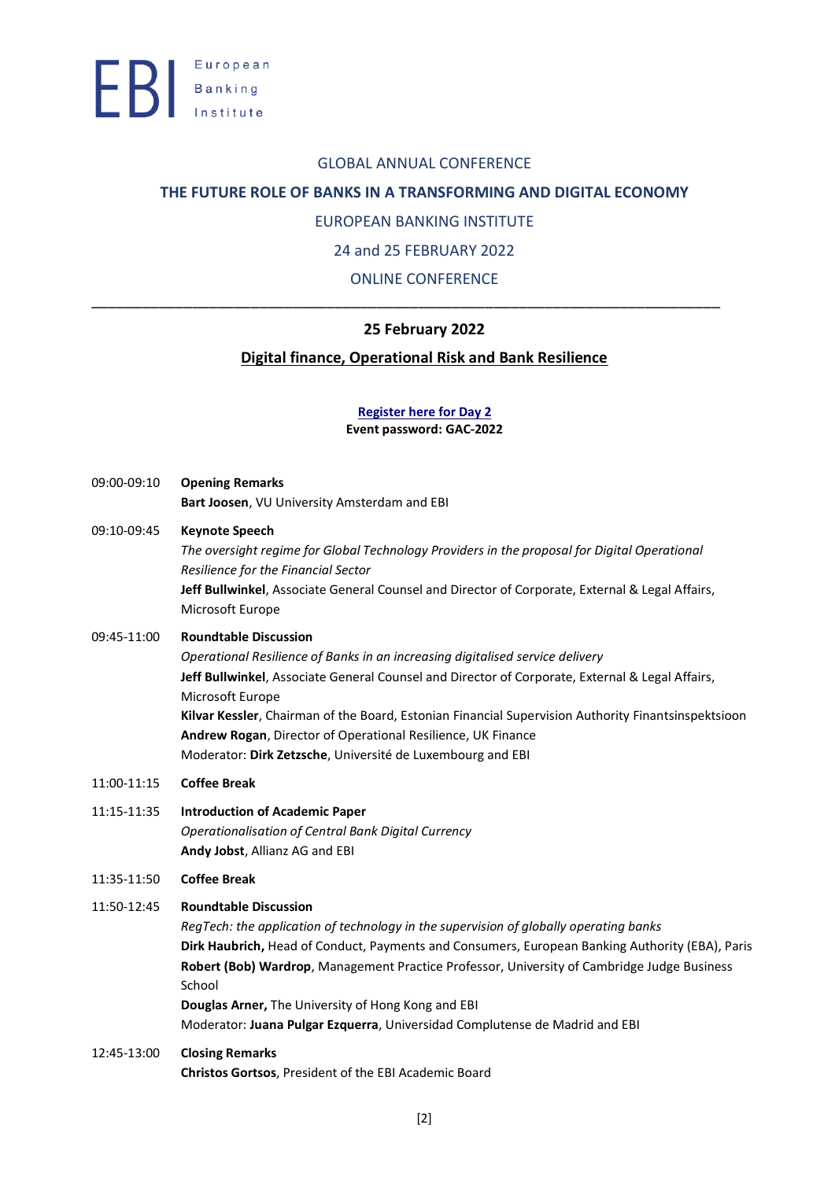#### GLOBAL ANNUAL CONFERENCE

### **THE FUTURE ROLE OF BANKS IN A TRANSFORMING AND DIGITAL ECONOMY**

### EUROPEAN BANKING INSTITUTE

24 and 25 FEBRUARY 2022

ONLINE CONFERENCE

\_\_\_\_\_\_\_\_\_\_\_\_\_\_\_\_\_\_\_\_\_\_\_\_\_\_\_\_\_\_\_\_\_\_\_\_\_\_\_\_\_\_\_\_\_\_\_\_\_\_\_\_\_\_\_\_\_\_\_\_\_\_\_\_\_\_\_\_\_\_\_\_\_\_\_

## **25 February 2022**

### **Digital finance, Operational Risk and Bank Resilience**

#### **[Register here for Day 2](https://ebi-europa.webex.com/ebi-europa/onstage/g.php?MTID=edb884e9e8a099f457826d81a013d4fa1)**

**Event password: GAC-2022**

- 09:00-09:10 **Opening Remarks Bart Joosen**, VU University Amsterdam and EBI
- 09:10-09:45 **Keynote Speech**

*The oversight regime for Global Technology Providers in the proposal for Digital Operational Resilience for the Financial Sector* **Jeff Bullwinkel**, Associate General Counsel and Director of Corporate, External & Legal Affairs, Microsoft Europe

#### 09:45-11:00 **Roundtable Discussion**

*Operational Resilience of Banks in an increasing digitalised service delivery* **Jeff Bullwinkel**, Associate General Counsel and Director of Corporate, External & Legal Affairs, Microsoft Europe **Kilvar Kessler**, Chairman of the Board, Estonian Financial Supervision Authority Finantsinspektsioon **Andrew Rogan**, Director of [Operational](https://www.ukfinance.org.uk/our-people/andrew-rogan) Resilience, UK Finance Moderator: **Dirk Zetzsche**, Université de Luxembourg and EBI

- 11:00-11:15 **Coffee Break**
- 11:15-11:35 **Introduction of Academic Paper**  *Operationalisation of Central Bank Digital Currency* **Andy Jobst**, Allianz AG and EBI
- 11:35-11:50 **Coffee Break**

#### 11:50-12:45 **Roundtable Discussion**

*RegTech: the application of technology in the supervision of globally operating banks* **Dirk Haubrich,** Head of Conduct, Payments and Consumers, European Banking Authority (EBA), Paris **Robert (Bob) Wardrop**, Management Practice Professor, University of Cambridge Judge Business School **Douglas Arner,** The University of Hong Kong and EBI Moderator: **Juana Pulgar Ezquerra**, Universidad Complutense de Madrid and EBI

12:45-13:00 **Closing Remarks Christos Gortsos**, President of the EBI Academic Board